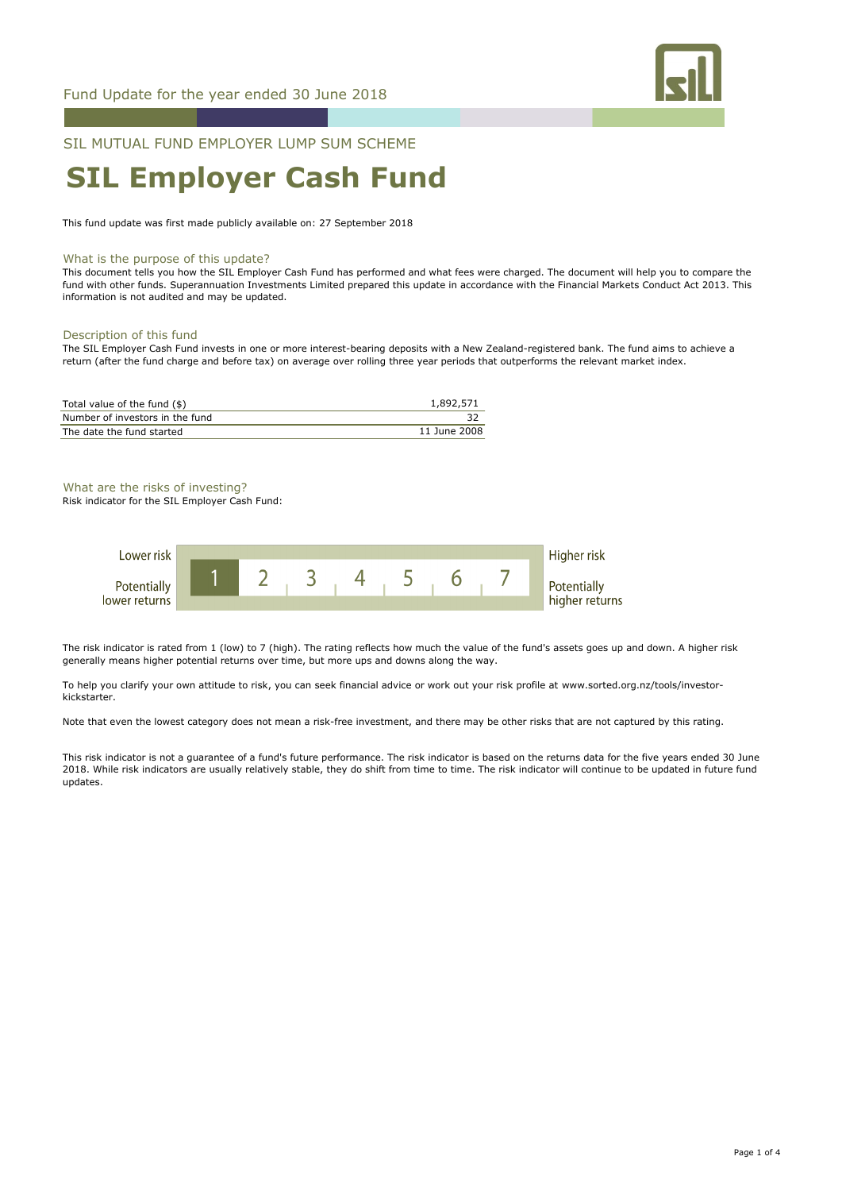

### SIL MUTUAL FUND EMPLOYER LUMP SUM SCHEME

# **SIL Employer Cash Fund**

This fund update was first made publicly available on: 27 September 2018

#### What is the purpose of this update?

This document tells you how the SIL Employer Cash Fund has performed and what fees were charged. The document will help you to compare the fund with other funds. Superannuation Investments Limited prepared this update in accordance with the Financial Markets Conduct Act 2013. This information is not audited and may be updated.

#### Description of this fund

The SIL Employer Cash Fund invests in one or more interest-bearing deposits with a New Zealand-registered bank. The fund aims to achieve a return (after the fund charge and before tax) on average over rolling three year periods that outperforms the relevant market index.

| Total value of the fund (\$)    | 1,892,571    |
|---------------------------------|--------------|
| Number of investors in the fund |              |
| The date the fund started       | 11 June 2008 |

#### What are the risks of investing?

Risk indicator for the SIL Employer Cash Fund:



The risk indicator is rated from 1 (low) to 7 (high). The rating reflects how much the value of the fund's assets goes up and down. A higher risk generally means higher potential returns over time, but more ups and downs along the way.

To help you clarify your own attitude to risk, you can seek financial advice or work out your risk profile at www.sorted.org.nz/tools/investorkickstarter.

Note that even the lowest category does not mean a risk-free investment, and there may be other risks that are not captured by this rating.

This risk indicator is not a guarantee of a fund's future performance. The risk indicator is based on the returns data for the five years ended 30 June 2018. While risk indicators are usually relatively stable, they do shift from time to time. The risk indicator will continue to be updated in future fund updates.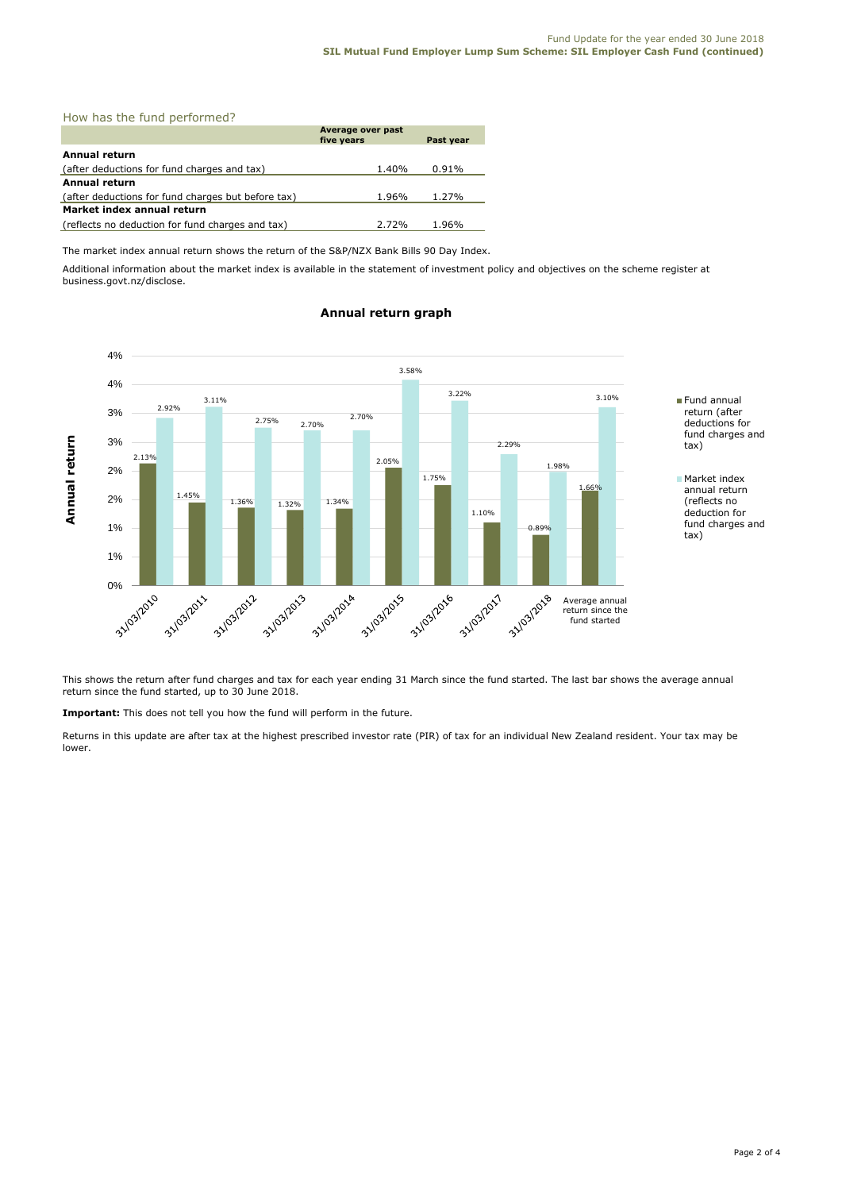#### How has the fund performed?

|                                                    | Average over past<br>five years | Past year |  |  |
|----------------------------------------------------|---------------------------------|-----------|--|--|
|                                                    |                                 |           |  |  |
| <b>Annual return</b>                               |                                 |           |  |  |
| (after deductions for fund charges and tax)        | 1.40%                           | 0.91%     |  |  |
| Annual return                                      |                                 |           |  |  |
| (after deductions for fund charges but before tax) | 1.96%                           | 1.27%     |  |  |
| Market index annual return                         |                                 |           |  |  |
| (reflects no deduction for fund charges and tax)   | 2.72%                           | 1.96%     |  |  |

The market index annual return shows the return of the S&P/NZX Bank Bills 90 Day Index.

Additional information about the market index is available in the statement of investment policy and objectives on the scheme register at business.govt.nz/disclose.



#### **Annual return graph**

This shows the return after fund charges and tax for each year ending 31 March since the fund started. The last bar shows the average annual return since the fund started, up to 30 June 2018.

**Important:** This does not tell you how the fund will perform in the future.

Returns in this update are after tax at the highest prescribed investor rate (PIR) of tax for an individual New Zealand resident. Your tax may be lower.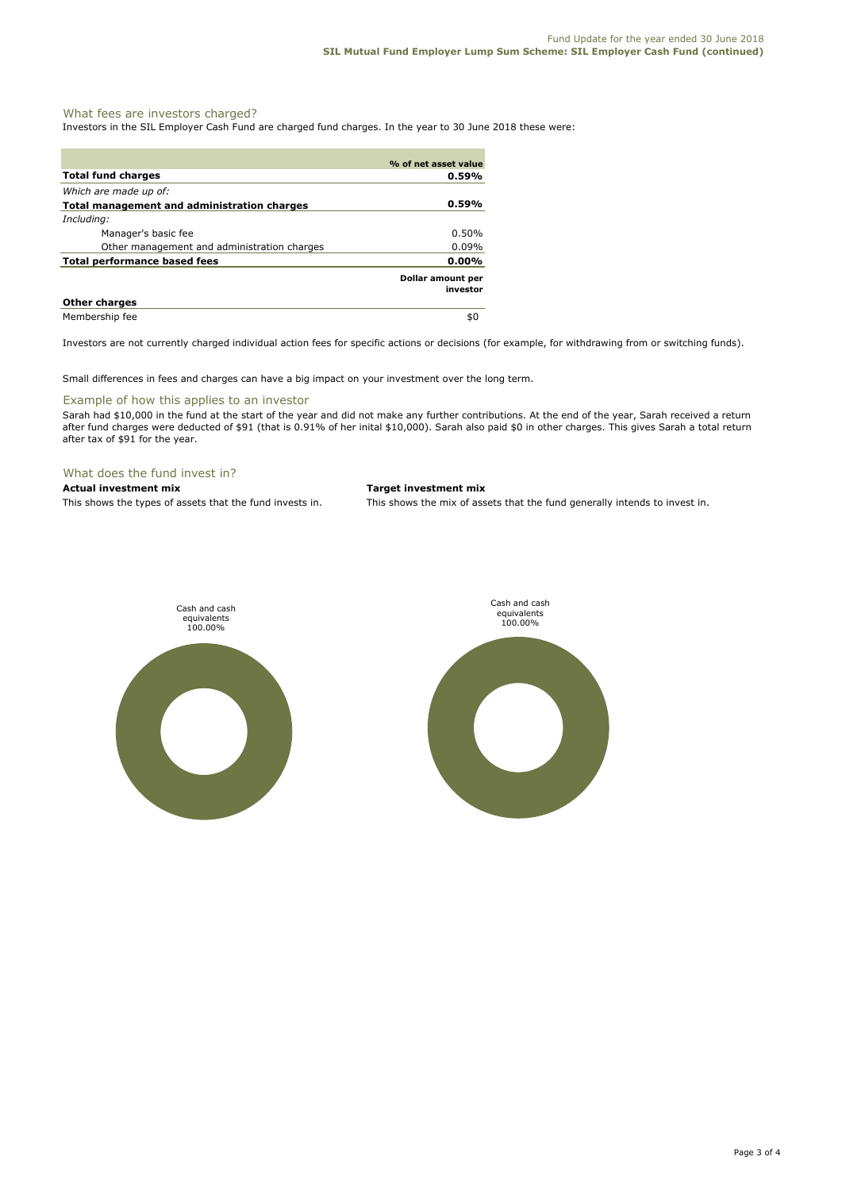#### What fees are investors charged?

Investors in the SIL Employer Cash Fund are charged fund charges. In the year to 30 June 2018 these were:

|                                             | % of net asset value          |
|---------------------------------------------|-------------------------------|
| <b>Total fund charges</b>                   | 0.59%                         |
| Which are made up of:                       |                               |
| Total management and administration charges | 0.59%                         |
| Including:                                  |                               |
| Manager's basic fee                         | $0.50\%$                      |
| Other management and administration charges | 0.09%                         |
| <b>Total performance based fees</b>         | $0.00\%$                      |
|                                             | Dollar amount per<br>investor |
| <b>Other charges</b>                        |                               |
| Membership fee                              | \$0                           |

Investors are not currently charged individual action fees for specific actions or decisions (for example, for withdrawing from or switching funds).

Small differences in fees and charges can have a big impact on your investment over the long term.

#### Example of how this applies to an investor

Sarah had \$10,000 in the fund at the start of the year and did not make any further contributions. At the end of the year, Sarah received a return after fund charges were deducted of \$91 (that is 0.91% of her inital \$10,000). Sarah also paid \$0 in other charges. This gives Sarah a total return after tax of \$91 for the year.

#### What does the fund invest in?

## **Actual investment mix Target investment mix**

This shows the types of assets that the fund invests in. This shows the mix of assets that the fund generally intends to invest in.